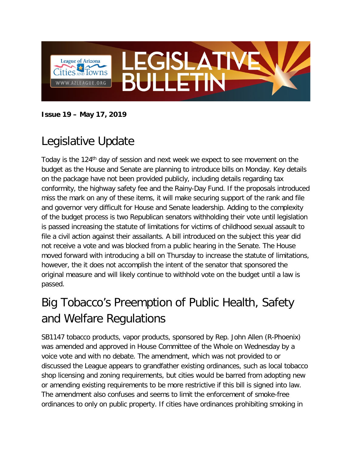

#### **Issue 19 – May 17, 2019**

# Legislative Update

Today is the 124<sup>th</sup> day of session and next week we expect to see movement on the budget as the House and Senate are planning to introduce bills on Monday. Key details on the package have not been provided publicly, including details regarding tax conformity, the highway safety fee and the Rainy-Day Fund. If the proposals introduced miss the mark on any of these items, it will make securing support of the rank and file and governor very difficult for House and Senate leadership. Adding to the complexity of the budget process is two Republican senators withholding their vote until legislation is passed increasing the statute of limitations for victims of childhood sexual assault to file a civil action against their assailants. A bill introduced on the subject this year did not receive a vote and was blocked from a public hearing in the Senate. The House moved forward with introducing a bill on Thursday to increase the statute of limitations, however, the it does not accomplish the intent of the senator that sponsored the original measure and will likely continue to withhold vote on the budget until a law is passed.

# Big Tobacco's Preemption of Public Health, Safety and Welfare Regulations

SB1147 tobacco products, vapor products, sponsored by Rep. John Allen (R-Phoenix) was amended and approved in House Committee of the Whole on Wednesday by a voice vote and with no debate. The amendment, which was not provided to or discussed the League appears to grandfather existing ordinances, such as local tobacco shop licensing and zoning requirements, but cities would be barred from adopting new or amending existing requirements to be more restrictive if this bill is signed into law. The amendment also confuses and seems to limit the enforcement of smoke-free ordinances to only on public property. If cities have ordinances prohibiting smoking in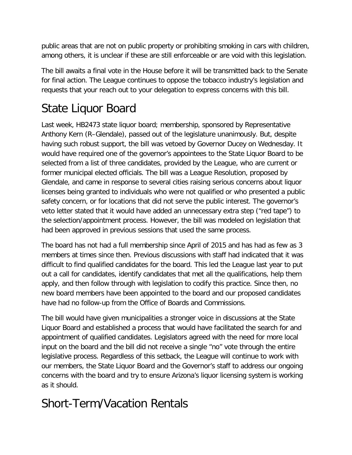public areas that are not on public property or prohibiting smoking in cars with children, among others, it is unclear if these are still enforceable or are void with this legislation.

The bill awaits a final vote in the House before it will be transmitted back to the Senate for final action. The League continues to oppose the tobacco industry's legislation and requests that your reach out to your delegation to express concerns with this bill.

# State Liquor Board

Last week, HB2473 state liquor board; membership, sponsored by Representative Anthony Kern (R–Glendale), passed out of the legislature unanimously. But, despite having such robust support, the bill was vetoed by Governor Ducey on Wednesday. It would have required one of the governor's appointees to the State Liquor Board to be selected from a list of three candidates, provided by the League, who are current or former municipal elected officials. The bill was a League Resolution, proposed by Glendale, and came in response to several cities raising serious concerns about liquor licenses being granted to individuals who were not qualified or who presented a public safety concern, or for locations that did not serve the public interest. The governor's veto letter stated that it would have added an unnecessary extra step ("red tape") to the selection/appointment process. However, the bill was modeled on legislation that had been approved in previous sessions that used the same process.

The board has not had a full membership since April of 2015 and has had as few as 3 members at times since then. Previous discussions with staff had indicated that it was difficult to find qualified candidates for the board. This led the League last year to put out a call for candidates, identify candidates that met all the qualifications, help them apply, and then follow through with legislation to codify this practice. Since then, no new board members have been appointed to the board and our proposed candidates have had no follow-up from the Office of Boards and Commissions.

The bill would have given municipalities a stronger voice in discussions at the State Liquor Board and established a process that would have facilitated the search for and appointment of qualified candidates. Legislators agreed with the need for more local input on the board and the bill did not receive a single "no" vote through the entire legislative process. Regardless of this setback, the League will continue to work with our members, the State Liquor Board and the Governor's staff to address our ongoing concerns with the board and try to ensure Arizona's liquor licensing system is working as it should.

# Short-Term/Vacation Rentals